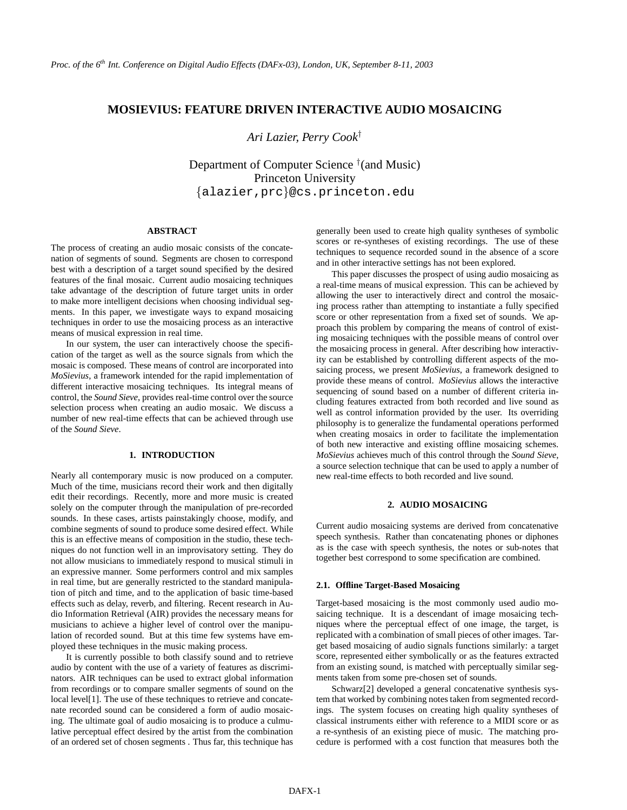# **MOSIEVIUS: FEATURE DRIVEN INTERACTIVE AUDIO MOSAICING**

*Ari Lazier, Perry Cook*†

Department of Computer Science † (and Music) Princeton University {alazier,prc}@cs.princeton.edu

## **ABSTRACT**

The process of creating an audio mosaic consists of the concatenation of segments of sound. Segments are chosen to correspond best with a description of a target sound specified by the desired features of the final mosaic. Current audio mosaicing techniques take advantage of the description of future target units in order to make more intelligent decisions when choosing individual segments. In this paper, we investigate ways to expand mosaicing techniques in order to use the mosaicing process as an interactive means of musical expression in real time.

In our system, the user can interactively choose the specification of the target as well as the source signals from which the mosaic is composed. These means of control are incorporated into *MoSievius*, a framework intended for the rapid implementation of different interactive mosaicing techniques. Its integral means of control, the *Sound Sieve*, provides real-time control over the source selection process when creating an audio mosaic. We discuss a number of new real-time effects that can be achieved through use of the *Sound Sieve*.

## **1. INTRODUCTION**

Nearly all contemporary music is now produced on a computer. Much of the time, musicians record their work and then digitally edit their recordings. Recently, more and more music is created solely on the computer through the manipulation of pre-recorded sounds. In these cases, artists painstakingly choose, modify, and combine segments of sound to produce some desired effect. While this is an effective means of composition in the studio, these techniques do not function well in an improvisatory setting. They do not allow musicians to immediately respond to musical stimuli in an expressive manner. Some performers control and mix samples in real time, but are generally restricted to the standard manipulation of pitch and time, and to the application of basic time-based effects such as delay, reverb, and filtering. Recent research in Audio Information Retrieval (AIR) provides the necessary means for musicians to achieve a higher level of control over the manipulation of recorded sound. But at this time few systems have employed these techniques in the music making process.

It is currently possible to both classify sound and to retrieve audio by content with the use of a variety of features as discriminators. AIR techniques can be used to extract global information from recordings or to compare smaller segments of sound on the local level<sup>[1]</sup>. The use of these techniques to retrieve and concatenate recorded sound can be considered a form of audio mosaicing. The ultimate goal of audio mosaicing is to produce a culmulative perceptual effect desired by the artist from the combination of an ordered set of chosen segments . Thus far, this technique has

generally been used to create high quality syntheses of symbolic scores or re-syntheses of existing recordings. The use of these techniques to sequence recorded sound in the absence of a score and in other interactive settings has not been explored.

This paper discusses the prospect of using audio mosaicing as a real-time means of musical expression. This can be achieved by allowing the user to interactively direct and control the mosaicing process rather than attempting to instantiate a fully specified score or other representation from a fixed set of sounds. We approach this problem by comparing the means of control of existing mosaicing techniques with the possible means of control over the mosaicing process in general. After describing how interactivity can be established by controlling different aspects of the mosaicing process, we present *MoSievius*, a framework designed to provide these means of control. *MoSievius* allows the interactive sequencing of sound based on a number of different criteria including features extracted from both recorded and live sound as well as control information provided by the user. Its overriding philosophy is to generalize the fundamental operations performed when creating mosaics in order to facilitate the implementation of both new interactive and existing offline mosaicing schemes. *MoSievius* achieves much of this control through the *Sound Sieve*, a source selection technique that can be used to apply a number of new real-time effects to both recorded and live sound.

## **2. AUDIO MOSAICING**

Current audio mosaicing systems are derived from concatenative speech synthesis. Rather than concatenating phones or diphones as is the case with speech synthesis, the notes or sub-notes that together best correspond to some specification are combined.

### **2.1. Offline Target-Based Mosaicing**

Target-based mosaicing is the most commonly used audio mosaicing technique. It is a descendant of image mosaicing techniques where the perceptual effect of one image, the target, is replicated with a combination of small pieces of other images. Target based mosaicing of audio signals functions similarly: a target score, represented either symbolically or as the features extracted from an existing sound, is matched with perceptually similar segments taken from some pre-chosen set of sounds.

Schwarz[2] developed a general concatenative synthesis system that worked by combining notes taken from segmented recordings. The system focuses on creating high quality syntheses of classical instruments either with reference to a MIDI score or as a re-synthesis of an existing piece of music. The matching procedure is performed with a cost function that measures both the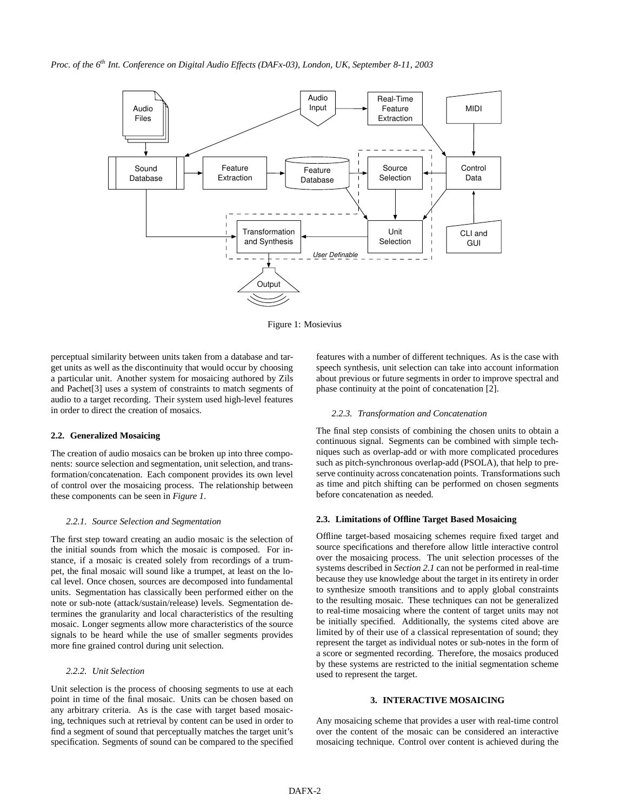*Proc. of the 6th Int. Conference on Digital Audio Effects (DAFx-03), London, UK, September 8-11, 2003*



Figure 1: Mosievius

perceptual similarity between units taken from a database and target units as well as the discontinuity that would occur by choosing a particular unit. Another system for mosaicing authored by Zils and Pachet[3] uses a system of constraints to match segments of audio to a target recording. Their system used high-level features in order to direct the creation of mosaics.

### **2.2. Generalized Mosaicing**

The creation of audio mosaics can be broken up into three components: source selection and segmentation, unit selection, and transformation/concatenation. Each component provides its own level of control over the mosaicing process. The relationship between these components can be seen in *Figure 1*.

## *2.2.1. Source Selection and Segmentation*

The first step toward creating an audio mosaic is the selection of the initial sounds from which the mosaic is composed. For instance, if a mosaic is created solely from recordings of a trumpet, the final mosaic will sound like a trumpet, at least on the local level. Once chosen, sources are decomposed into fundamental units. Segmentation has classically been performed either on the note or sub-note (attack/sustain/release) levels. Segmentation determines the granularity and local characteristics of the resulting mosaic. Longer segments allow more characteristics of the source signals to be heard while the use of smaller segments provides more fine grained control during unit selection.

### *2.2.2. Unit Selection*

Unit selection is the process of choosing segments to use at each point in time of the final mosaic. Units can be chosen based on any arbitrary criteria. As is the case with target based mosaicing, techniques such at retrieval by content can be used in order to find a segment of sound that perceptually matches the target unit's specification. Segments of sound can be compared to the specified

features with a number of different techniques. As is the case with speech synthesis, unit selection can take into account information about previous or future segments in order to improve spectral and phase continuity at the point of concatenation [2].

#### *2.2.3. Transformation and Concatenation*

The final step consists of combining the chosen units to obtain a continuous signal. Segments can be combined with simple techniques such as overlap-add or with more complicated procedures such as pitch-synchronous overlap-add (PSOLA), that help to preserve continuity across concatenation points. Transformations such as time and pitch shifting can be performed on chosen segments before concatenation as needed.

## **2.3. Limitations of Offline Target Based Mosaicing**

Offline target-based mosaicing schemes require fixed target and source specifications and therefore allow little interactive control over the mosaicing process. The unit selection processes of the systems described in *Section 2.1* can not be performed in real-time because they use knowledge about the target in its entirety in order to synthesize smooth transitions and to apply global constraints to the resulting mosaic. These techniques can not be generalized to real-time mosaicing where the content of target units may not be initially specified. Additionally, the systems cited above are limited by of their use of a classical representation of sound; they represent the target as individual notes or sub-notes in the form of a score or segmented recording. Therefore, the mosaics produced by these systems are restricted to the initial segmentation scheme used to represent the target.

## **3. INTERACTIVE MOSAICING**

Any mosaicing scheme that provides a user with real-time control over the content of the mosaic can be considered an interactive mosaicing technique. Control over content is achieved during the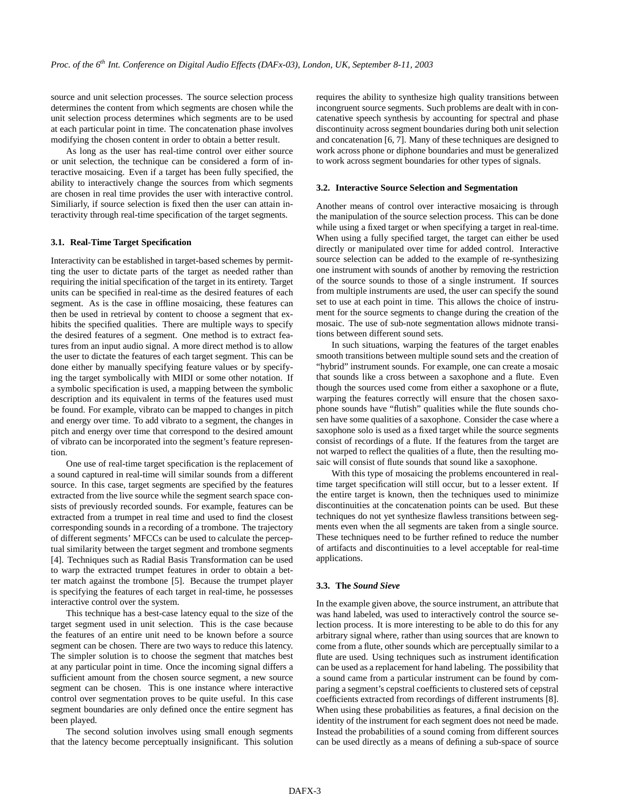source and unit selection processes. The source selection process determines the content from which segments are chosen while the unit selection process determines which segments are to be used at each particular point in time. The concatenation phase involves modifying the chosen content in order to obtain a better result.

As long as the user has real-time control over either source or unit selection, the technique can be considered a form of interactive mosaicing. Even if a target has been fully specified, the ability to interactively change the sources from which segments are chosen in real time provides the user with interactive control. Similiarly, if source selection is fixed then the user can attain interactivity through real-time specification of the target segments.

### **3.1. Real-Time Target Specification**

Interactivity can be established in target-based schemes by permitting the user to dictate parts of the target as needed rather than requiring the initial specification of the target in its entirety. Target units can be specified in real-time as the desired features of each segment. As is the case in offline mosaicing, these features can then be used in retrieval by content to choose a segment that exhibits the specified qualities. There are multiple ways to specify the desired features of a segment. One method is to extract features from an input audio signal. A more direct method is to allow the user to dictate the features of each target segment. This can be done either by manually specifying feature values or by specifying the target symbolically with MIDI or some other notation. If a symbolic specification is used, a mapping between the symbolic description and its equivalent in terms of the features used must be found. For example, vibrato can be mapped to changes in pitch and energy over time. To add vibrato to a segment, the changes in pitch and energy over time that correspond to the desired amount of vibrato can be incorporated into the segment's feature represention.

One use of real-time target specification is the replacement of a sound captured in real-time will similar sounds from a different source. In this case, target segments are specified by the features extracted from the live source while the segment search space consists of previously recorded sounds. For example, features can be extracted from a trumpet in real time and used to find the closest corresponding sounds in a recording of a trombone. The trajectory of different segments' MFCCs can be used to calculate the perceptual similarity between the target segment and trombone segments [4]. Techniques such as Radial Basis Transformation can be used to warp the extracted trumpet features in order to obtain a better match against the trombone [5]. Because the trumpet player is specifying the features of each target in real-time, he possesses interactive control over the system.

This technique has a best-case latency equal to the size of the target segment used in unit selection. This is the case because the features of an entire unit need to be known before a source segment can be chosen. There are two ways to reduce this latency. The simpler solution is to choose the segment that matches best at any particular point in time. Once the incoming signal differs a sufficient amount from the chosen source segment, a new source segment can be chosen. This is one instance where interactive control over segmentation proves to be quite useful. In this case segment boundaries are only defined once the entire segment has been played.

The second solution involves using small enough segments that the latency become perceptually insignificant. This solution requires the ability to synthesize high quality transitions between incongruent source segments. Such problems are dealt with in concatenative speech synthesis by accounting for spectral and phase discontinuity across segment boundaries during both unit selection and concatenation [6, 7]. Many of these techniques are designed to work across phone or diphone boundaries and must be generalized to work across segment boundaries for other types of signals.

#### **3.2. Interactive Source Selection and Segmentation**

Another means of control over interactive mosaicing is through the manipulation of the source selection process. This can be done while using a fixed target or when specifying a target in real-time. When using a fully specified target, the target can either be used directly or manipulated over time for added control. Interactive source selection can be added to the example of re-synthesizing one instrument with sounds of another by removing the restriction of the source sounds to those of a single instrument. If sources from multiple instruments are used, the user can specify the sound set to use at each point in time. This allows the choice of instrument for the source segments to change during the creation of the mosaic. The use of sub-note segmentation allows midnote transitions between different sound sets.

In such situations, warping the features of the target enables smooth transitions between multiple sound sets and the creation of "hybrid" instrument sounds. For example, one can create a mosaic that sounds like a cross between a saxophone and a flute. Even though the sources used come from either a saxophone or a flute, warping the features correctly will ensure that the chosen saxophone sounds have "flutish" qualities while the flute sounds chosen have some qualities of a saxophone. Consider the case where a saxophone solo is used as a fixed target while the source segments consist of recordings of a flute. If the features from the target are not warped to reflect the qualities of a flute, then the resulting mosaic will consist of flute sounds that sound like a saxophone.

With this type of mosaicing the problems encountered in realtime target specification will still occur, but to a lesser extent. If the entire target is known, then the techniques used to minimize discontinuities at the concatenation points can be used. But these techniques do not yet synthesize flawless transitions between segments even when the all segments are taken from a single source. These techniques need to be further refined to reduce the number of artifacts and discontinuities to a level acceptable for real-time applications.

#### **3.3. The** *Sound Sieve*

In the example given above, the source instrument, an attribute that was hand labeled, was used to interactively control the source selection process. It is more interesting to be able to do this for any arbitrary signal where, rather than using sources that are known to come from a flute, other sounds which are perceptually similar to a flute are used. Using techniques such as instrument identification can be used as a replacement for hand labeling. The possibility that a sound came from a particular instrument can be found by comparing a segment's cepstral coefficients to clustered sets of cepstral coefficients extracted from recordings of different instruments [8]. When using these probabilities as features, a final decision on the identity of the instrument for each segment does not need be made. Instead the probabilities of a sound coming from different sources can be used directly as a means of defining a sub-space of source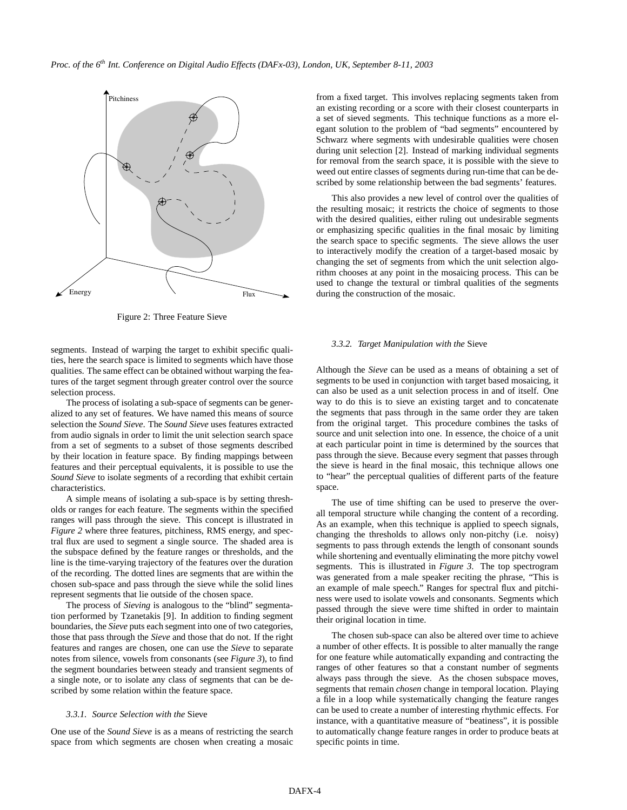

Figure 2: Three Feature Sieve

segments. Instead of warping the target to exhibit specific qualities, here the search space is limited to segments which have those qualities. The same effect can be obtained without warping the features of the target segment through greater control over the source selection process.

The process of isolating a sub-space of segments can be generalized to any set of features. We have named this means of source selection the *Sound Sieve*. The *Sound Sieve* uses features extracted from audio signals in order to limit the unit selection search space from a set of segments to a subset of those segments described by their location in feature space. By finding mappings between features and their perceptual equivalents, it is possible to use the *Sound Sieve* to isolate segments of a recording that exhibit certain characteristics.

A simple means of isolating a sub-space is by setting thresholds or ranges for each feature. The segments within the specified ranges will pass through the sieve. This concept is illustrated in *Figure 2* where three features, pitchiness, RMS energy, and spectral flux are used to segment a single source. The shaded area is the subspace defined by the feature ranges or thresholds, and the line is the time-varying trajectory of the features over the duration of the recording. The dotted lines are segments that are within the chosen sub-space and pass through the sieve while the solid lines represent segments that lie outside of the chosen space.

The process of *Sieving* is analogous to the "blind" segmentation performed by Tzanetakis [9]. In addition to finding segment boundaries, the *Sieve* puts each segment into one of two categories, those that pass through the *Sieve* and those that do not. If the right features and ranges are chosen, one can use the *Sieve* to separate notes from silence, vowels from consonants (see *Figure 3*), to find the segment boundaries between steady and transient segments of a single note, or to isolate any class of segments that can be described by some relation within the feature space.

### *3.3.1. Source Selection with the* Sieve

One use of the *Sound Sieve* is as a means of restricting the search space from which segments are chosen when creating a mosaic

from a fixed target. This involves replacing segments taken from an existing recording or a score with their closest counterparts in a set of sieved segments. This technique functions as a more elegant solution to the problem of "bad segments" encountered by Schwarz where segments with undesirable qualities were chosen during unit selection [2]. Instead of marking individual segments for removal from the search space, it is possible with the sieve to weed out entire classes of segments during run-time that can be described by some relationship between the bad segments' features.

This also provides a new level of control over the qualities of the resulting mosaic; it restricts the choice of segments to those with the desired qualities, either ruling out undesirable segments or emphasizing specific qualities in the final mosaic by limiting the search space to specific segments. The sieve allows the user to interactively modify the creation of a target-based mosaic by changing the set of segments from which the unit selection algorithm chooses at any point in the mosaicing process. This can be used to change the textural or timbral qualities of the segments during the construction of the mosaic.

#### *3.3.2. Target Manipulation with the* Sieve

Although the *Sieve* can be used as a means of obtaining a set of segments to be used in conjunction with target based mosaicing, it can also be used as a unit selection process in and of itself. One way to do this is to sieve an existing target and to concatenate the segments that pass through in the same order they are taken from the original target. This procedure combines the tasks of source and unit selection into one. In essence, the choice of a unit at each particular point in time is determined by the sources that pass through the sieve. Because every segment that passes through the sieve is heard in the final mosaic, this technique allows one to "hear" the perceptual qualities of different parts of the feature space.

The use of time shifting can be used to preserve the overall temporal structure while changing the content of a recording. As an example, when this technique is applied to speech signals, changing the thresholds to allows only non-pitchy (i.e. noisy) segments to pass through extends the length of consonant sounds while shortening and eventually eliminating the more pitchy vowel segments. This is illustrated in *Figure 3*. The top spectrogram was generated from a male speaker reciting the phrase, "This is an example of male speech." Ranges for spectral flux and pitchiness were used to isolate vowels and consonants. Segments which passed through the sieve were time shifted in order to maintain their original location in time.

The chosen sub-space can also be altered over time to achieve a number of other effects. It is possible to alter manually the range for one feature while automatically expanding and contracting the ranges of other features so that a constant number of segments always pass through the sieve. As the chosen subspace moves, segments that remain *chosen* change in temporal location. Playing a file in a loop while systematically changing the feature ranges can be used to create a number of interesting rhythmic effects. For instance, with a quantitative measure of "beatiness", it is possible to automatically change feature ranges in order to produce beats at specific points in time.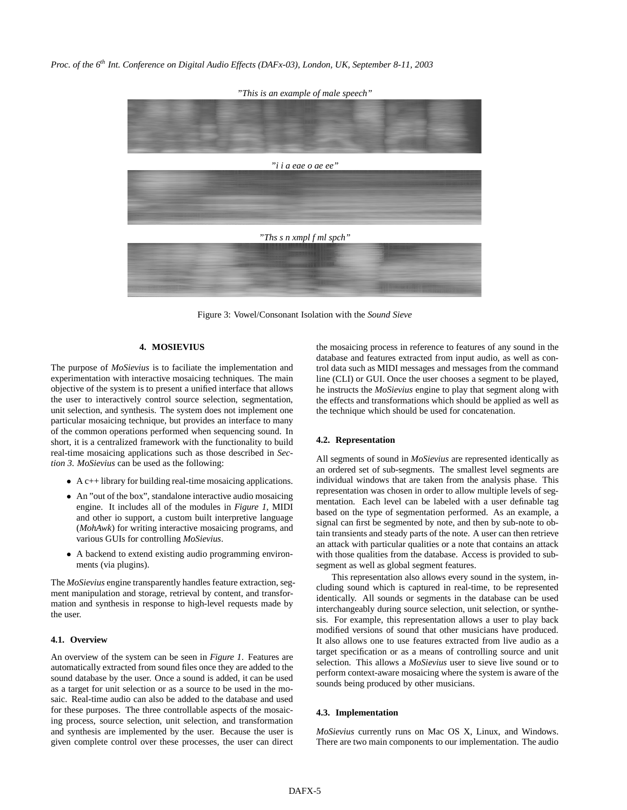*Proc. of the 6th Int. Conference on Digital Audio Effects (DAFx-03), London, UK, September 8-11, 2003*

*"This is an example of male speech" "i i a eae o ae ee" "Ths s n xmpl f ml spch"*

Figure 3: Vowel/Consonant Isolation with the *Sound Sieve*

## **4. MOSIEVIUS**

The purpose of *MoSievius* is to faciliate the implementation and experimentation with interactive mosaicing techniques. The main objective of the system is to present a unified interface that allows the user to interactively control source selection, segmentation, unit selection, and synthesis. The system does not implement one particular mosaicing technique, but provides an interface to many of the common operations performed when sequencing sound. In short, it is a centralized framework with the functionality to build real-time mosaicing applications such as those described in *Section 3*. *MoSievius* can be used as the following:

- A c++ library for building real-time mosaicing applications.
- An "out of the box", standalone interactive audio mosaicing engine. It includes all of the modules in *Figure 1*, MIDI and other io support, a custom built interpretive language (*MohAwk*) for writing interactive mosaicing programs, and various GUIs for controlling *MoSievius*.
- A backend to extend existing audio programming environments (via plugins).

The *MoSievius* engine transparently handles feature extraction, segment manipulation and storage, retrieval by content, and transformation and synthesis in response to high-level requests made by the user.

## **4.1. Overview**

An overview of the system can be seen in *Figure 1*. Features are automatically extracted from sound files once they are added to the sound database by the user. Once a sound is added, it can be used as a target for unit selection or as a source to be used in the mosaic. Real-time audio can also be added to the database and used for these purposes. The three controllable aspects of the mosaicing process, source selection, unit selection, and transformation and synthesis are implemented by the user. Because the user is given complete control over these processes, the user can direct the mosaicing process in reference to features of any sound in the database and features extracted from input audio, as well as control data such as MIDI messages and messages from the command line (CLI) or GUI. Once the user chooses a segment to be played, he instructs the *MoSievius* engine to play that segment along with the effects and transformations which should be applied as well as the technique which should be used for concatenation.

## **4.2. Representation**

All segments of sound in *MoSievius* are represented identically as an ordered set of sub-segments. The smallest level segments are individual windows that are taken from the analysis phase. This representation was chosen in order to allow multiple levels of segmentation. Each level can be labeled with a user definable tag based on the type of segmentation performed. As an example, a signal can first be segmented by note, and then by sub-note to obtain transients and steady parts of the note. A user can then retrieve an attack with particular qualities or a note that contains an attack with those qualities from the database. Access is provided to subsegment as well as global segment features.

This representation also allows every sound in the system, including sound which is captured in real-time, to be represented identically. All sounds or segments in the database can be used interchangeably during source selection, unit selection, or synthesis. For example, this representation allows a user to play back modified versions of sound that other musicians have produced. It also allows one to use features extracted from live audio as a target specification or as a means of controlling source and unit selection. This allows a *MoSievius* user to sieve live sound or to perform context-aware mosaicing where the system is aware of the sounds being produced by other musicians.

## **4.3. Implementation**

*MoSievius* currently runs on Mac OS X, Linux, and Windows. There are two main components to our implementation. The audio